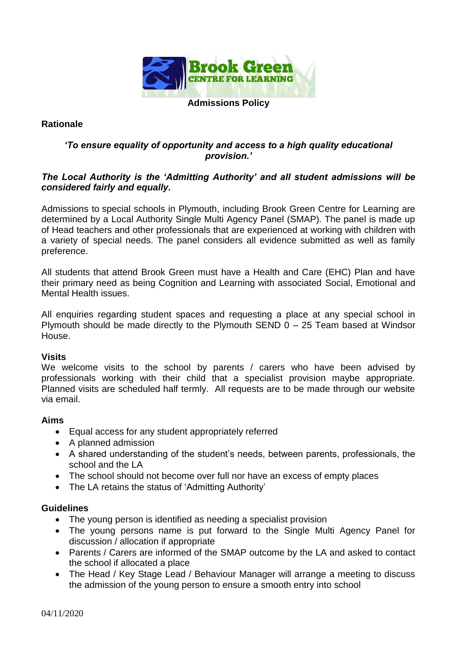

## **Rationale**

# *'To ensure equality of opportunity and access to a high quality educational provision.'*

## *The Local Authority is the 'Admitting Authority' and all student admissions will be considered fairly and equally.*

Admissions to special schools in Plymouth, including Brook Green Centre for Learning are determined by a Local Authority Single Multi Agency Panel (SMAP). The panel is made up of Head teachers and other professionals that are experienced at working with children with a variety of special needs. The panel considers all evidence submitted as well as family preference.

All students that attend Brook Green must have a Health and Care (EHC) Plan and have their primary need as being Cognition and Learning with associated Social, Emotional and Mental Health issues.

All enquiries regarding student spaces and requesting a place at any special school in Plymouth should be made directly to the Plymouth SEND  $0 - 25$  Team based at Windsor House.

#### **Visits**

We welcome visits to the school by parents / carers who have been advised by professionals working with their child that a specialist provision maybe appropriate. Planned visits are scheduled half termly. All requests are to be made through our website via email.

#### **Aims**

- Equal access for any student appropriately referred
- A planned admission
- A shared understanding of the student's needs, between parents, professionals, the school and the LA
- The school should not become over full nor have an excess of empty places
- The LA retains the status of 'Admitting Authority'

#### **Guidelines**

- The young person is identified as needing a specialist provision
- The young persons name is put forward to the Single Multi Agency Panel for discussion / allocation if appropriate
- Parents / Carers are informed of the SMAP outcome by the LA and asked to contact the school if allocated a place
- The Head / Key Stage Lead / Behaviour Manager will arrange a meeting to discuss the admission of the young person to ensure a smooth entry into school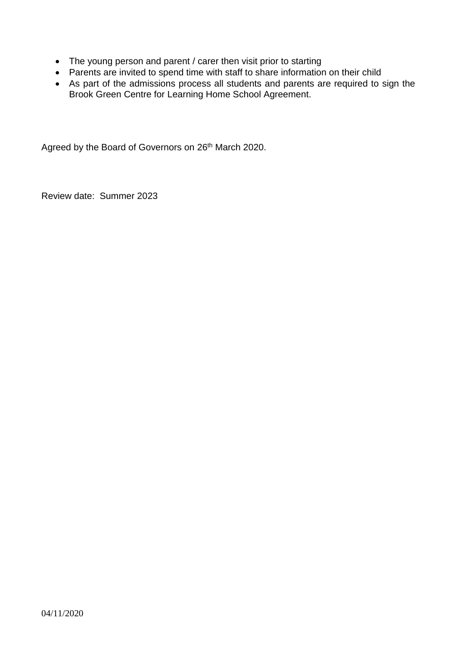- The young person and parent / carer then visit prior to starting
- Parents are invited to spend time with staff to share information on their child
- As part of the admissions process all students and parents are required to sign the Brook Green Centre for Learning Home School Agreement.

Agreed by the Board of Governors on 26<sup>th</sup> March 2020.

Review date: Summer 2023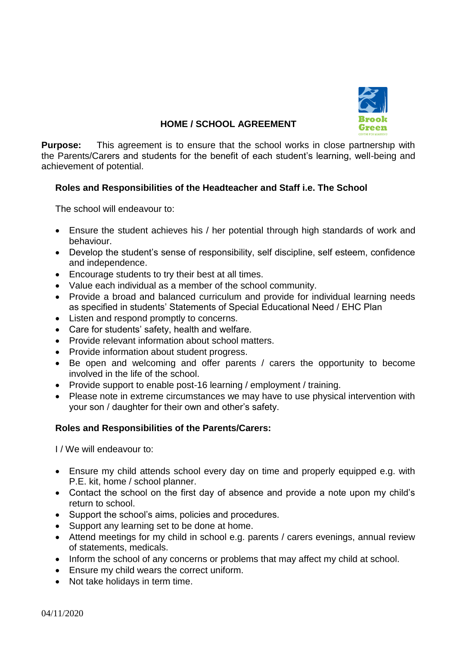

# **HOME / SCHOOL AGREEMENT**

**Purpose:** This agreement is to ensure that the school works in close partnership with the Parents/Carers and students for the benefit of each student's learning, well-being and achievement of potential.

# **Roles and Responsibilities of the Headteacher and Staff i.e. The School**

The school will endeavour to:

- Ensure the student achieves his / her potential through high standards of work and behaviour.
- Develop the student's sense of responsibility, self discipline, self esteem, confidence and independence.
- Encourage students to try their best at all times.
- Value each individual as a member of the school community.
- Provide a broad and balanced curriculum and provide for individual learning needs as specified in students' Statements of Special Educational Need / EHC Plan
- Listen and respond promptly to concerns.
- Care for students' safety, health and welfare.
- Provide relevant information about school matters.
- Provide information about student progress.
- Be open and welcoming and offer parents / carers the opportunity to become involved in the life of the school.
- Provide support to enable post-16 learning / employment / training.
- Please note in extreme circumstances we may have to use physical intervention with your son / daughter for their own and other's safety.

#### **Roles and Responsibilities of the Parents/Carers:**

I / We will endeavour to:

- Ensure my child attends school every day on time and properly equipped e.g. with P.E. kit, home / school planner.
- Contact the school on the first day of absence and provide a note upon my child's return to school.
- Support the school's aims, policies and procedures.
- Support any learning set to be done at home.
- Attend meetings for my child in school e.g. parents / carers evenings, annual review of statements, medicals.
- Inform the school of any concerns or problems that may affect my child at school.
- Ensure my child wears the correct uniform.
- Not take holidays in term time.